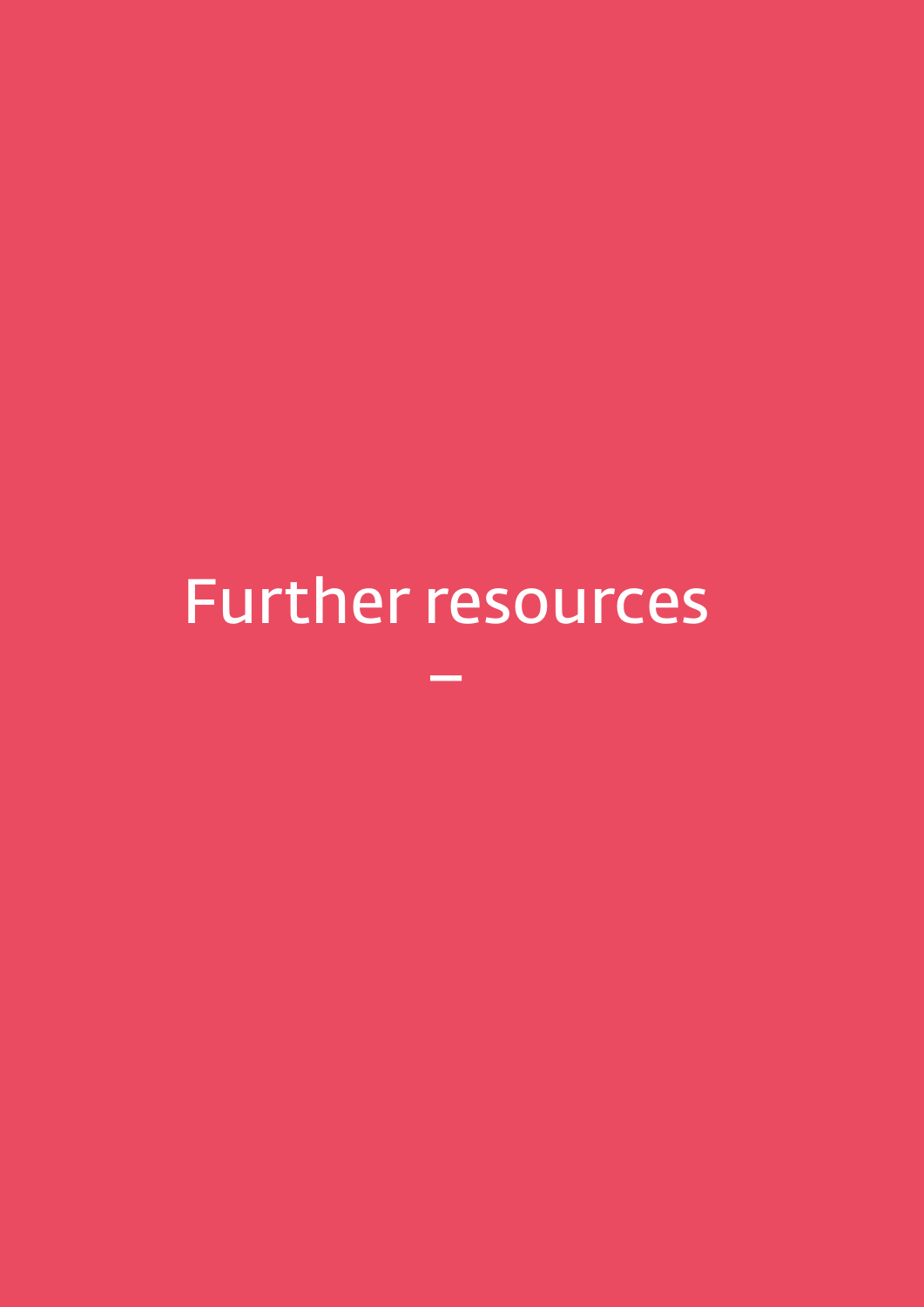# Further resources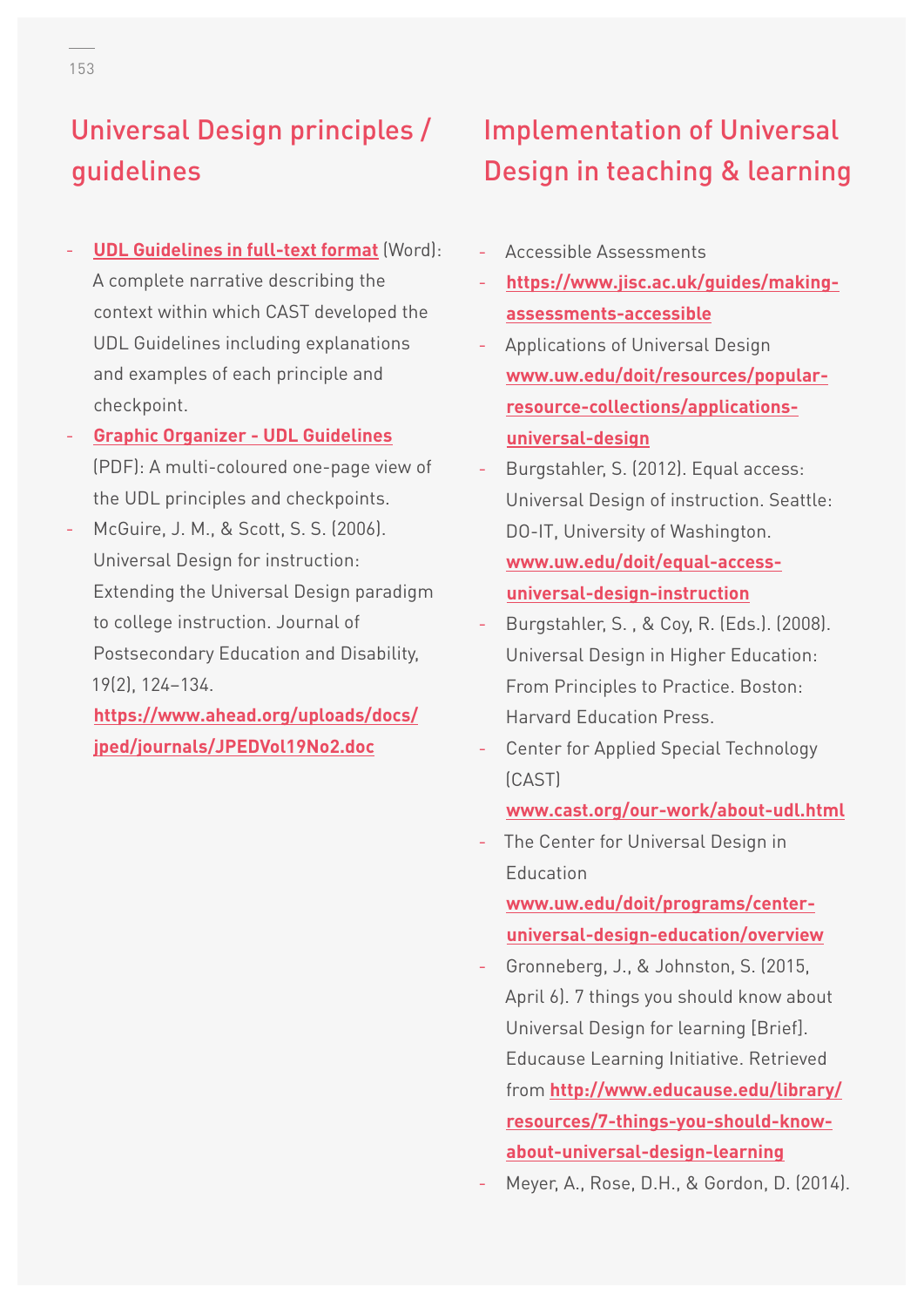#### Universal Design principles / guidelines

- **[UDL Guidelines in full-text format](http://www.udlcenter.org/sites/udlcenter.org/files/UDL_Guidelines_Version_2.0_(Final)_3.doc)** (Word): A complete narrative describing the context within which CAST developed the UDL Guidelines including explanations and examples of each principle and checkpoint.
- **[Graphic Organizer UDL Guidelines](http://www.udlcenter.org/sites/udlcenter.org/files/updateguidelines2_0.pdf)** (PDF): A multi-coloured one-page view of the UDL principles and checkpoints.
- McGuire, J. M., & Scott, S. S. (2006). Universal Design for instruction: Extending the Universal Design paradigm to college instruction. Journal of Postsecondary Education and Disability, 19(2), 124–134.

#### **[https://www.ahead.org/uploads/docs/](https://www.ahead.org/uploads/docs/jped/journals/JPEDVol19No2.doc) [jped/journals/JPEDVol19No2.doc](https://www.ahead.org/uploads/docs/jped/journals/JPEDVol19No2.doc)**

#### Implementation of Universal Design in teaching & learning

- Accessible Assessments
- **[https://www.jisc.ac.uk/guides/making](https://www.jisc.ac.uk/guides/making-assessments-accessible)[assessments-accessible](https://www.jisc.ac.uk/guides/making-assessments-accessible)**
- Applications of Universal Design **[www.uw.edu/doit/resources/popular](http://www.uw.edu/doit/resources/popular-resource-collections/applications-universal-design)[resource-collections/applications](http://www.uw.edu/doit/resources/popular-resource-collections/applications-universal-design)[universal-design](http://www.uw.edu/doit/resources/popular-resource-collections/applications-universal-design)**
- Burgstahler, S. (2012). Equal access: Universal Design of instruction. Seattle: DO-IT, University of Washington. **[www.uw.edu/doit/equal-access](http://www.uw.edu/doit/equal-access-universal-design-instruction)[universal-design-instruction](http://www.uw.edu/doit/equal-access-universal-design-instruction)**
- Burgstahler, S. , & Coy, R. (Eds.). (2008). Universal Design in Higher Education: From Principles to Practice. Boston: Harvard Education Press.
- Center for Applied Special Technology (CAST)

**[www.cast.org/our-work/about-udl.html](http://www.cast.org/our-work/about-udl.html)**

The Center for Universal Design in Education

**[www.uw.edu/doit/programs/center](http://www.uw.edu/doit/programs/center-universal-design-education/overview)[universal-design-education/overview](http://www.uw.edu/doit/programs/center-universal-design-education/overview)**

- Gronneberg, J., & Johnston, S. (2015, April 6). 7 things you should know about Universal Design for learning [Brief]. Educause Learning Initiative. Retrieved from **[http://www.educause.edu/library/](http://www.educause.edu/library/resources/7-things-you-should-know-about-universal-design-learning) [resources/7-things-you-should-know](http://www.educause.edu/library/resources/7-things-you-should-know-about-universal-design-learning)[about-universal-design-learning](http://www.educause.edu/library/resources/7-things-you-should-know-about-universal-design-learning)**
- Meyer, A., Rose, D.H., & Gordon, D. (2014).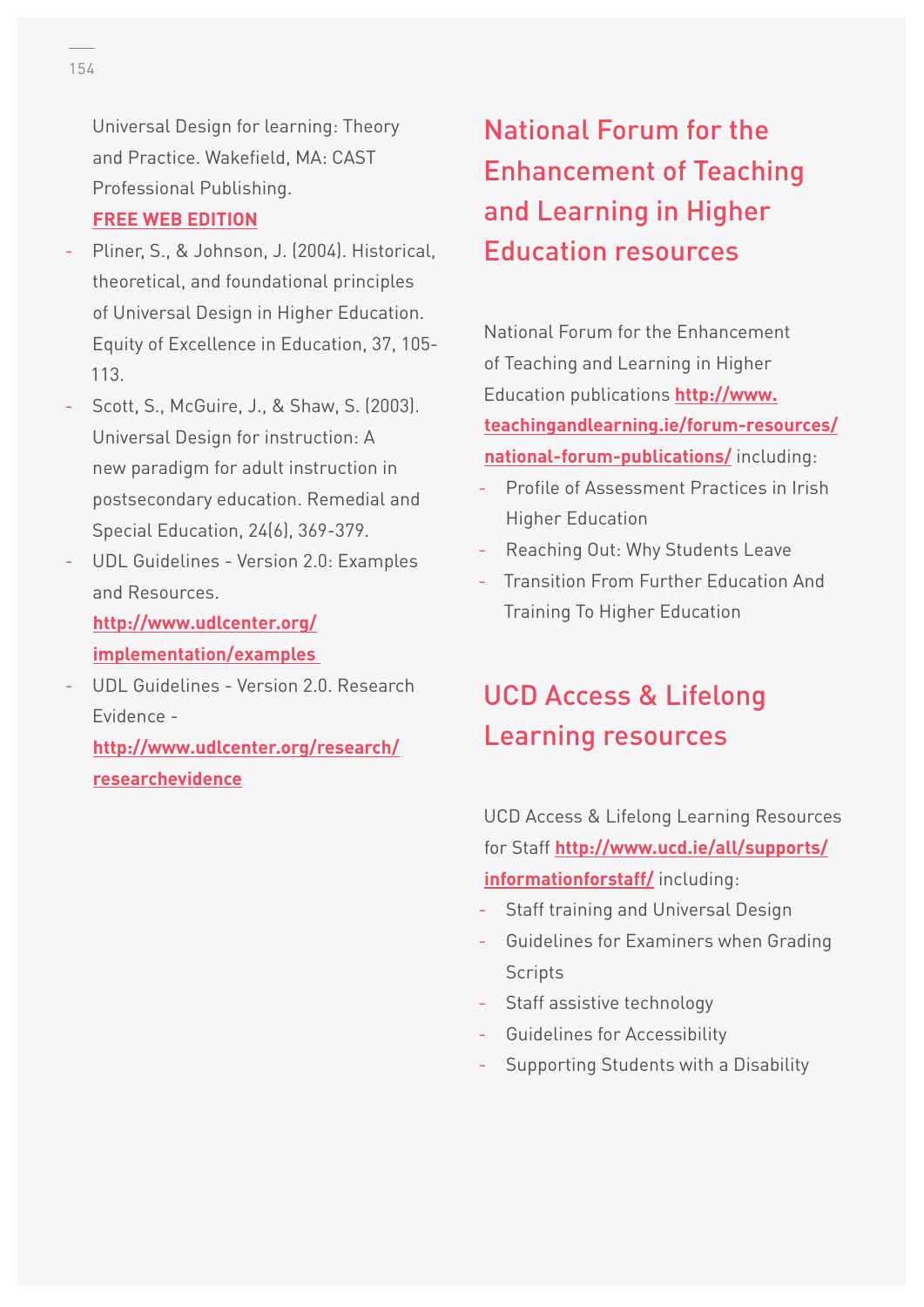Universal Design for learning: Theory and Practice. Wakefield, MA: CAST Professional Publishing. **[FREE WEB EDITION](http://udltheorypractice.cast.org/login)**

- Pliner, S., & Johnson, J. (2004). Historical, theoretical, and foundational principles of Universal Design in Higher Education. Equity of Excellence in Education, 37, 105- 113.
- Scott, S., McGuire, J., & Shaw, S. (2003). Universal Design for instruction: A new paradigm for adult instruction in postsecondary education. Remedial and Special Education, 24(6), 369-379.
- UDL Guidelines Version 2.0: Examples and Resources.

**[http://www.udlcenter.org/](http://www.udlcenter.org/implementation/examples) [implementation/examples](http://www.udlcenter.org/implementation/examples)** 

- UDL Guidelines - Version 2.0. Research Evidence -

**[http://www.udlcenter.org/research/](http://www.udlcenter.org/research/researchevidence) [researchevidence](http://www.udlcenter.org/research/researchevidence)**

## National Forum for the Enhancement of Teaching and Learning in Higher Education resources

National Forum for the Enhancement of Teaching and Learning in Higher Education publications **[http://www.](http://www.teachingandlearning.ie/forum-resources/national-forum-publications/) [teachingandlearning.ie/forum-resources/](http://www.teachingandlearning.ie/forum-resources/national-forum-publications/) [national-forum-publications/](http://www.teachingandlearning.ie/forum-resources/national-forum-publications/)** including:

- Profile of Assessment Practices in Irish Higher Education
- Reaching Out: Why Students Leave
- **Transition From Further Education And** Training To Higher Education

#### UCD Access & Lifelong Learning resources

UCD Access & Lifelong Learning Resources for Staff **[http://www.ucd.ie/all/supports/](http://www.ucd.ie/all/supports/informationforstaff/) [informationforstaff/](http://www.ucd.ie/all/supports/informationforstaff/)** including:

- Staff training and Universal Design
- Guidelines for Examiners when Grading **Scripts**
- Staff assistive technology
- Guidelines for Accessibility
- Supporting Students with a Disability